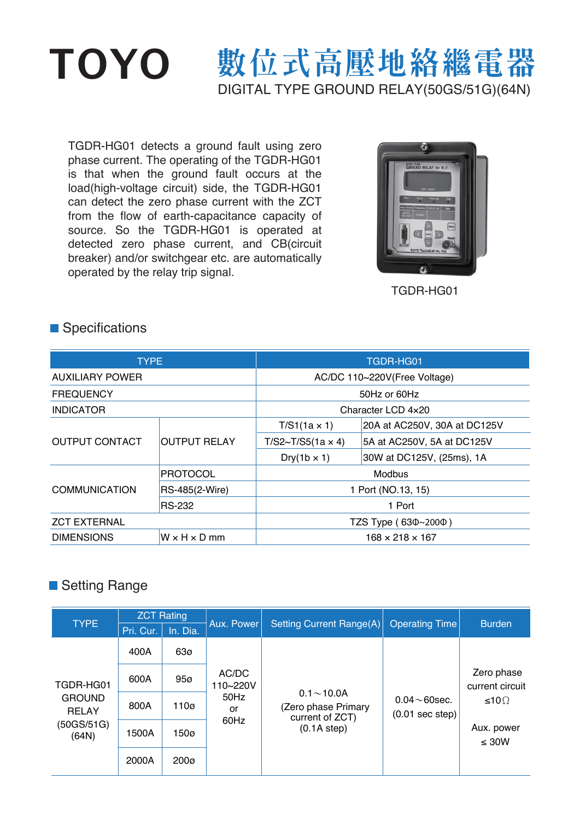# TOYO 數位式高壓地絡繼電器 DIGITAL TYPE GROUND RELAY(50GS/51G)(64N)

TGDR-HG01 detects a ground fault using zero phase current. The operating of the TGDR-HG01 is that when the ground fault occurs at the load(high-voltage circuit) side, the TGDR-HG01 can detect the zero phase current with the ZCT from the flow of earth-capacitance capacity of source. So the TGDR-HG01 is operated at detected zero phase current, and CB(circuit breaker) and/or switchgear etc. are automatically operated by the relay trip signal.



TGDR-HG01

#### **Specifications**

| <b>TYPE</b>            |                          | TGDR-HG01                     |                              |  |
|------------------------|--------------------------|-------------------------------|------------------------------|--|
| <b>AUXILIARY POWER</b> |                          | AC/DC 110~220V(Free Voltage)  |                              |  |
| <b>FREQUENCY</b>       |                          | 50Hz or 60Hz                  |                              |  |
| <b>INDICATOR</b>       |                          | Character LCD 4x20            |                              |  |
| <b>OUTPUT CONTACT</b>  |                          | $T/S1(1a \times 1)$           | 20A at AC250V, 30A at DC125V |  |
|                        | <b>OUTPUT RELAY</b>      | $T/S2 \sim T/S5(1a \times 4)$ | 5A at AC250V, 5A at DC125V   |  |
|                        |                          | $Dry(1b \times 1)$            | 30W at DC125V, (25ms), 1A    |  |
| <b>COMMUNICATION</b>   | <b>PROTOCOL</b>          | Modbus                        |                              |  |
|                        | RS-485(2-Wire)           | 1 Port (NO.13, 15)            |                              |  |
|                        | <b>RS-232</b>            | 1 Port                        |                              |  |
| <b>ZCT EXTERNAL</b>    |                          | TZS Type (630~2000)           |                              |  |
| <b>DIMENSIONS</b>      | $W \times H \times D$ mm | $168 \times 218 \times 167$   |                              |  |

### ■ Setting Range

| <b>TYPE</b>                                                       | <b>ZCT Rating</b> |                  |                                         |                                                                        |                                                  |                                          |
|-------------------------------------------------------------------|-------------------|------------------|-----------------------------------------|------------------------------------------------------------------------|--------------------------------------------------|------------------------------------------|
|                                                                   | Pri. Cur.         | In. Dia.         | Aux. Power                              | <b>Setting Current Range(A)</b>                                        | <b>Operating Time</b>                            | <b>Burden</b>                            |
| TGDR-HG01<br><b>GROUND</b><br><b>RELAY</b><br>(50GS/51G)<br>(64N) | 400A              | 63ø              | AC/DC<br>110~220V<br>50Hz<br>or<br>60Hz | $0.1 - 10.0A$<br>(Zero phase Primary<br>current of ZCT)<br>(0.1A step) | $0.04 \sim 60$ sec.<br>$(0.01 \text{ sec step})$ |                                          |
|                                                                   | 600A              | 95 <sub>0</sub>  |                                         |                                                                        |                                                  | Zero phase<br>current circuit<br>≤10 $Ω$ |
|                                                                   | 800A              | 110 <sub>0</sub> |                                         |                                                                        |                                                  |                                          |
|                                                                   | 1500A             | 150 <sub>0</sub> |                                         |                                                                        |                                                  | Aux. power<br>$\leq 30W$                 |
|                                                                   | 2000A             | 200 <sub>0</sub> |                                         |                                                                        |                                                  |                                          |